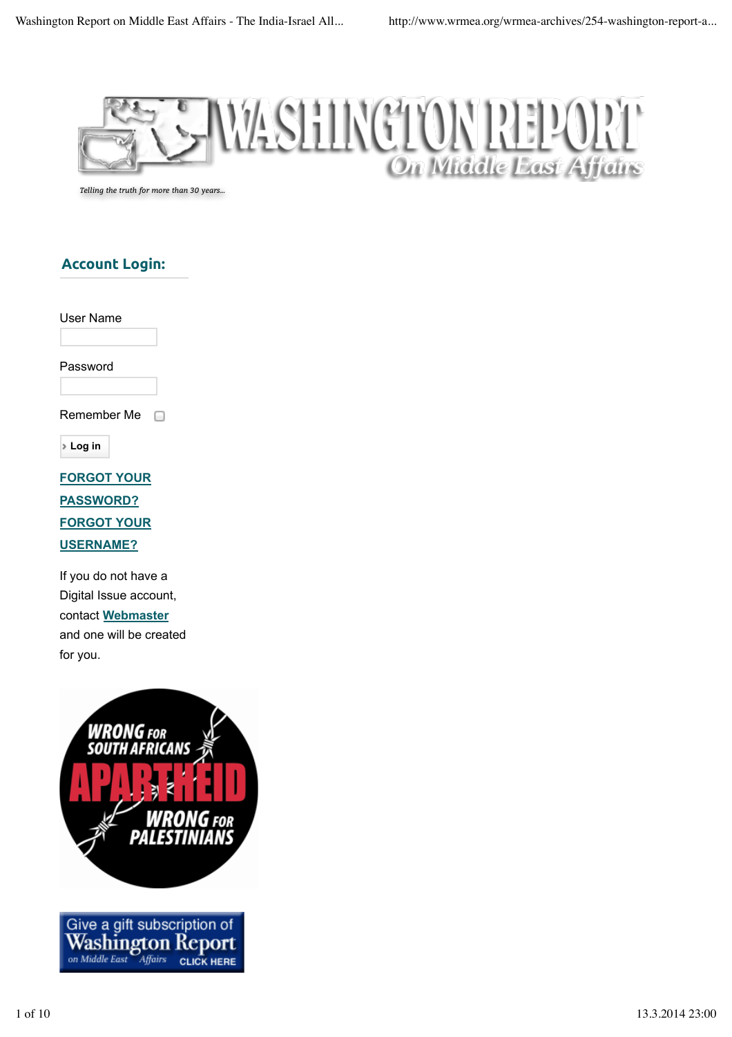

*Telling the truth for more than 30 years...*

### **Account Login:**

User Name

Password

Remember Me  $\Box$ 

**Log in**

**FORGOT YOUR PASSWORD? FORGOT YOUR USERNAME?**

If you do not have a Digital Issue account, contact **Webmaster** and one will be created for you.



Affairs

**CLICK HERE** 

on Middle East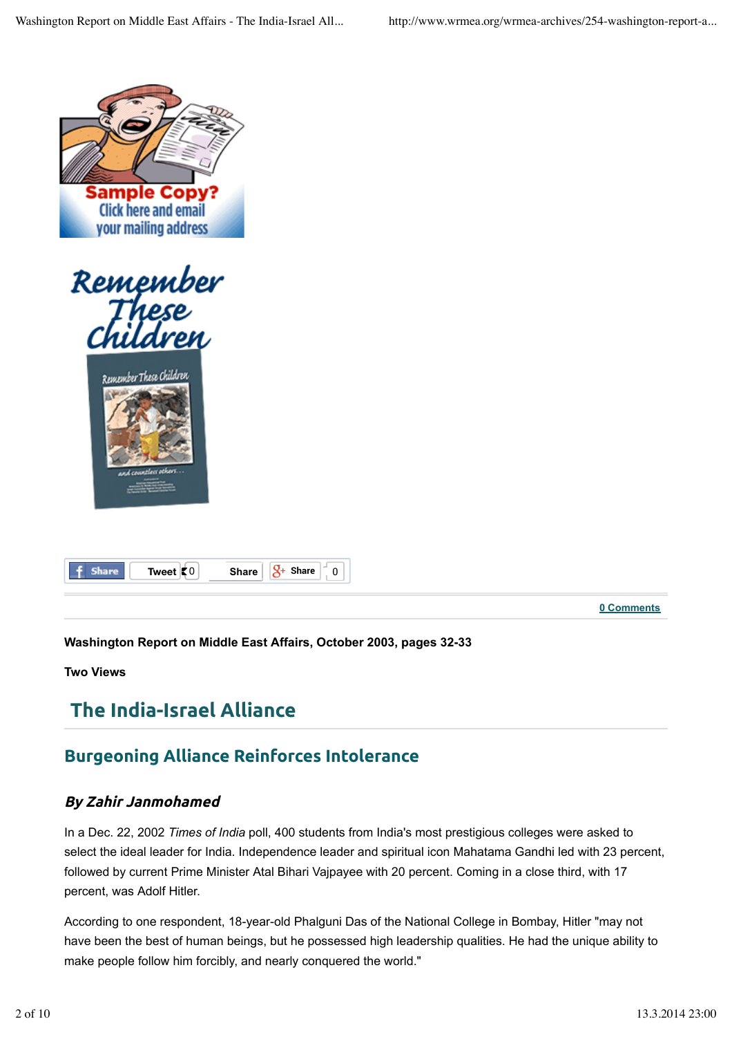







**0 Comments**

**Washington Report on Middle East Affairs, October 2003, pages 32-33**

**Two Views**

# **The India-Israel Alliance**

# **Burgeoning Alliance Reinforces Intolerance**

#### **By Zahir Janmohamed**

In a Dec. 22, 2002 *Times of India* poll, 400 students from India's most prestigious colleges were asked to select the ideal leader for India. Independence leader and spiritual icon Mahatama Gandhi led with 23 percent, followed by current Prime Minister Atal Bihari Vajpayee with 20 percent. Coming in a close third, with 17 percent, was Adolf Hitler.

According to one respondent, 18-year-old Phalguni Das of the National College in Bombay, Hitler "may not have been the best of human beings, but he possessed high leadership qualities. He had the unique ability to make people follow him forcibly, and nearly conquered the world."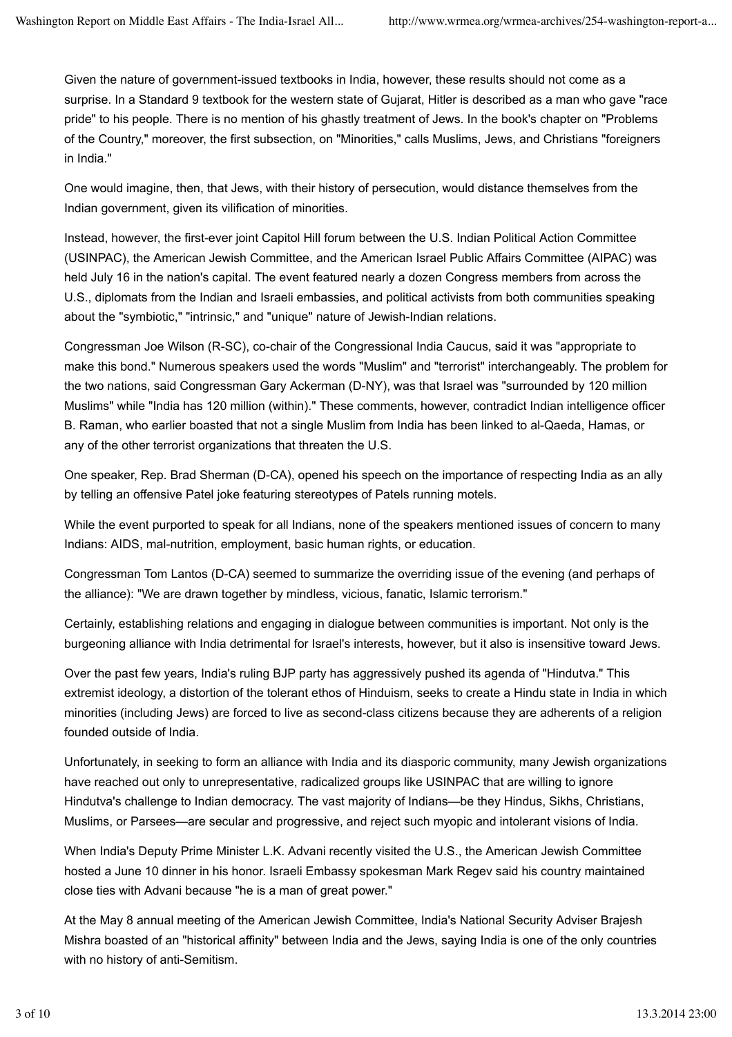Given the nature of government-issued textbooks in India, however, these results should not come as a surprise. In a Standard 9 textbook for the western state of Gujarat, Hitler is described as a man who gave "race pride" to his people. There is no mention of his ghastly treatment of Jews. In the book's chapter on "Problems of the Country," moreover, the first subsection, on "Minorities," calls Muslims, Jews, and Christians "foreigners in India."

One would imagine, then, that Jews, with their history of persecution, would distance themselves from the Indian government, given its vilification of minorities.

Instead, however, the first-ever joint Capitol Hill forum between the U.S. Indian Political Action Committee (USINPAC), the American Jewish Committee, and the American Israel Public Affairs Committee (AIPAC) was held July 16 in the nation's capital. The event featured nearly a dozen Congress members from across the U.S., diplomats from the Indian and Israeli embassies, and political activists from both communities speaking about the "symbiotic," "intrinsic," and "unique" nature of Jewish-Indian relations.

Congressman Joe Wilson (R-SC), co-chair of the Congressional India Caucus, said it was "appropriate to make this bond." Numerous speakers used the words "Muslim" and "terrorist" interchangeably. The problem for the two nations, said Congressman Gary Ackerman (D-NY), was that Israel was "surrounded by 120 million Muslims" while "India has 120 million (within)." These comments, however, contradict Indian intelligence officer B. Raman, who earlier boasted that not a single Muslim from India has been linked to al-Qaeda, Hamas, or any of the other terrorist organizations that threaten the U.S.

One speaker, Rep. Brad Sherman (D-CA), opened his speech on the importance of respecting India as an ally by telling an offensive Patel joke featuring stereotypes of Patels running motels.

While the event purported to speak for all Indians, none of the speakers mentioned issues of concern to many Indians: AIDS, mal-nutrition, employment, basic human rights, or education.

Congressman Tom Lantos (D-CA) seemed to summarize the overriding issue of the evening (and perhaps of the alliance): "We are drawn together by mindless, vicious, fanatic, Islamic terrorism."

Certainly, establishing relations and engaging in dialogue between communities is important. Not only is the burgeoning alliance with India detrimental for Israel's interests, however, but it also is insensitive toward Jews.

Over the past few years, India's ruling BJP party has aggressively pushed its agenda of "Hindutva." This extremist ideology, a distortion of the tolerant ethos of Hinduism, seeks to create a Hindu state in India in which minorities (including Jews) are forced to live as second-class citizens because they are adherents of a religion founded outside of India.

Unfortunately, in seeking to form an alliance with India and its diasporic community, many Jewish organizations have reached out only to unrepresentative, radicalized groups like USINPAC that are willing to ignore Hindutva's challenge to Indian democracy. The vast majority of Indians—be they Hindus, Sikhs, Christians, Muslims, or Parsees—are secular and progressive, and reject such myopic and intolerant visions of India.

When India's Deputy Prime Minister L.K. Advani recently visited the U.S., the American Jewish Committee hosted a June 10 dinner in his honor. Israeli Embassy spokesman Mark Regev said his country maintained close ties with Advani because "he is a man of great power."

At the May 8 annual meeting of the American Jewish Committee, India's National Security Adviser Brajesh Mishra boasted of an "historical affinity" between India and the Jews, saying India is one of the only countries with no history of anti-Semitism.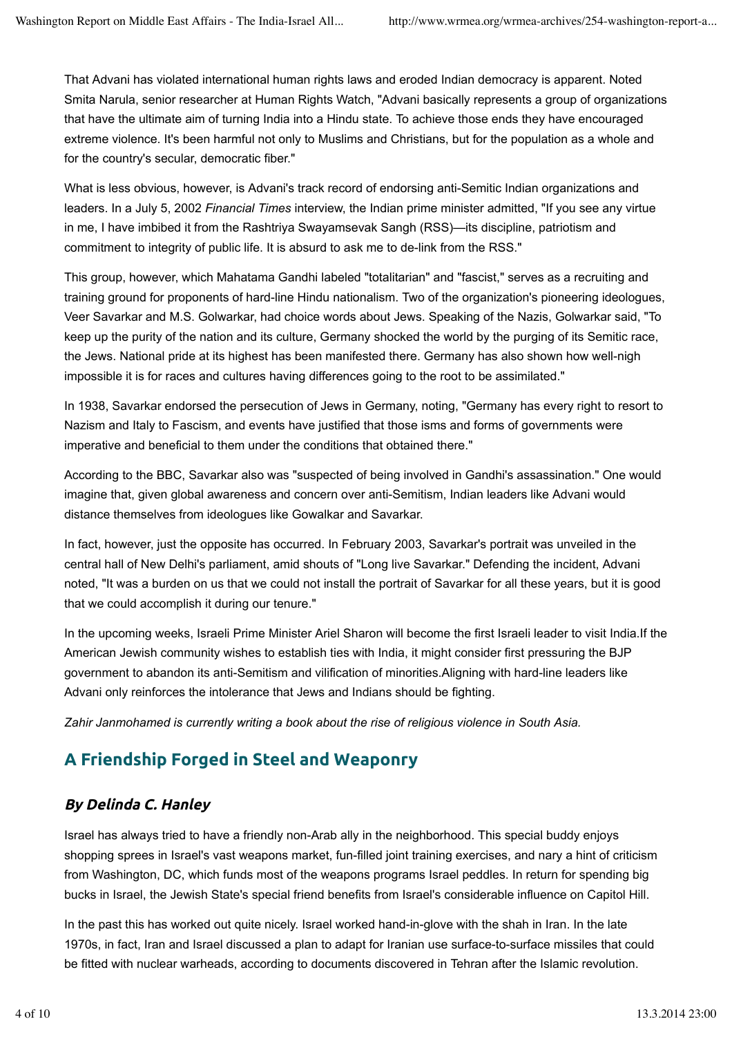That Advani has violated international human rights laws and eroded Indian democracy is apparent. Noted Smita Narula, senior researcher at Human Rights Watch, "Advani basically represents a group of organizations that have the ultimate aim of turning India into a Hindu state. To achieve those ends they have encouraged extreme violence. It's been harmful not only to Muslims and Christians, but for the population as a whole and for the country's secular, democratic fiber."

What is less obvious, however, is Advani's track record of endorsing anti-Semitic Indian organizations and leaders. In a July 5, 2002 *Financial Times* interview, the Indian prime minister admitted, "If you see any virtue in me, I have imbibed it from the Rashtriya Swayamsevak Sangh (RSS)—its discipline, patriotism and commitment to integrity of public life. It is absurd to ask me to de-link from the RSS."

This group, however, which Mahatama Gandhi labeled "totalitarian" and "fascist," serves as a recruiting and training ground for proponents of hard-line Hindu nationalism. Two of the organization's pioneering ideologues, Veer Savarkar and M.S. Golwarkar, had choice words about Jews. Speaking of the Nazis, Golwarkar said, "To keep up the purity of the nation and its culture, Germany shocked the world by the purging of its Semitic race, the Jews. National pride at its highest has been manifested there. Germany has also shown how well-nigh impossible it is for races and cultures having differences going to the root to be assimilated."

In 1938, Savarkar endorsed the persecution of Jews in Germany, noting, "Germany has every right to resort to Nazism and Italy to Fascism, and events have justified that those isms and forms of governments were imperative and beneficial to them under the conditions that obtained there."

According to the BBC, Savarkar also was "suspected of being involved in Gandhi's assassination." One would imagine that, given global awareness and concern over anti-Semitism, Indian leaders like Advani would distance themselves from ideologues like Gowalkar and Savarkar.

In fact, however, just the opposite has occurred. In February 2003, Savarkar's portrait was unveiled in the central hall of New Delhi's parliament, amid shouts of "Long live Savarkar." Defending the incident, Advani noted, "It was a burden on us that we could not install the portrait of Savarkar for all these years, but it is good that we could accomplish it during our tenure."

In the upcoming weeks, Israeli Prime Minister Ariel Sharon will become the first Israeli leader to visit India.If the American Jewish community wishes to establish ties with India, it might consider first pressuring the BJP government to abandon its anti-Semitism and vilification of minorities.Aligning with hard-line leaders like Advani only reinforces the intolerance that Jews and Indians should be fighting.

*Zahir Janmohamed is currently writing a book about the rise of religious violence in South Asia.*

# **A Friendship Forged in Steel and Weaponry**

### **By Delinda C. Hanley**

Israel has always tried to have a friendly non-Arab ally in the neighborhood. This special buddy enjoys shopping sprees in Israel's vast weapons market, fun-filled joint training exercises, and nary a hint of criticism from Washington, DC, which funds most of the weapons programs Israel peddles. In return for spending big bucks in Israel, the Jewish State's special friend benefits from Israel's considerable influence on Capitol Hill.

In the past this has worked out quite nicely. Israel worked hand-in-glove with the shah in Iran. In the late 1970s, in fact, Iran and Israel discussed a plan to adapt for Iranian use surface-to-surface missiles that could be fitted with nuclear warheads, according to documents discovered in Tehran after the Islamic revolution.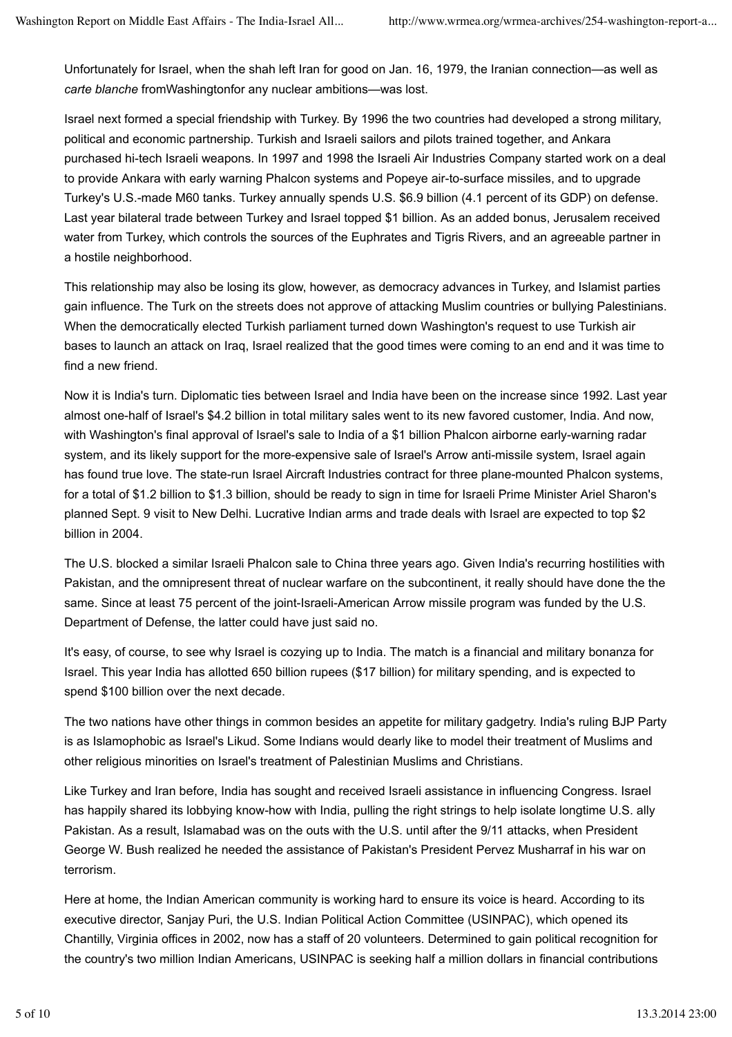Unfortunately for Israel, when the shah left Iran for good on Jan. 16, 1979, the Iranian connection—as well as *carte blanche* fromWashingtonfor any nuclear ambitions—was lost.

Israel next formed a special friendship with Turkey. By 1996 the two countries had developed a strong military, political and economic partnership. Turkish and Israeli sailors and pilots trained together, and Ankara purchased hi-tech Israeli weapons. In 1997 and 1998 the Israeli Air Industries Company started work on a deal to provide Ankara with early warning Phalcon systems and Popeye air-to-surface missiles, and to upgrade Turkey's U.S.-made M60 tanks. Turkey annually spends U.S. \$6.9 billion (4.1 percent of its GDP) on defense. Last year bilateral trade between Turkey and Israel topped \$1 billion. As an added bonus, Jerusalem received water from Turkey, which controls the sources of the Euphrates and Tigris Rivers, and an agreeable partner in a hostile neighborhood.

This relationship may also be losing its glow, however, as democracy advances in Turkey, and Islamist parties gain influence. The Turk on the streets does not approve of attacking Muslim countries or bullying Palestinians. When the democratically elected Turkish parliament turned down Washington's request to use Turkish air bases to launch an attack on Iraq, Israel realized that the good times were coming to an end and it was time to find a new friend.

Now it is India's turn. Diplomatic ties between Israel and India have been on the increase since 1992. Last year almost one-half of Israel's \$4.2 billion in total military sales went to its new favored customer, India. And now, with Washington's final approval of Israel's sale to India of a \$1 billion Phalcon airborne early-warning radar system, and its likely support for the more-expensive sale of Israel's Arrow anti-missile system, Israel again has found true love. The state-run Israel Aircraft Industries contract for three plane-mounted Phalcon systems, for a total of \$1.2 billion to \$1.3 billion, should be ready to sign in time for Israeli Prime Minister Ariel Sharon's planned Sept. 9 visit to New Delhi. Lucrative Indian arms and trade deals with Israel are expected to top \$2 billion in 2004.

The U.S. blocked a similar Israeli Phalcon sale to China three years ago. Given India's recurring hostilities with Pakistan, and the omnipresent threat of nuclear warfare on the subcontinent, it really should have done the the same. Since at least 75 percent of the joint-Israeli-American Arrow missile program was funded by the U.S. Department of Defense, the latter could have just said no.

It's easy, of course, to see why Israel is cozying up to India. The match is a financial and military bonanza for Israel. This year India has allotted 650 billion rupees (\$17 billion) for military spending, and is expected to spend \$100 billion over the next decade.

The two nations have other things in common besides an appetite for military gadgetry. India's ruling BJP Party is as Islamophobic as Israel's Likud. Some Indians would dearly like to model their treatment of Muslims and other religious minorities on Israel's treatment of Palestinian Muslims and Christians.

Like Turkey and Iran before, India has sought and received Israeli assistance in influencing Congress. Israel has happily shared its lobbying know-how with India, pulling the right strings to help isolate longtime U.S. ally Pakistan. As a result, Islamabad was on the outs with the U.S. until after the 9/11 attacks, when President George W. Bush realized he needed the assistance of Pakistan's President Pervez Musharraf in his war on terrorism.

Here at home, the Indian American community is working hard to ensure its voice is heard. According to its executive director, Sanjay Puri, the U.S. Indian Political Action Committee (USINPAC), which opened its Chantilly, Virginia offices in 2002, now has a staff of 20 volunteers. Determined to gain political recognition for the country's two million Indian Americans, USINPAC is seeking half a million dollars in financial contributions